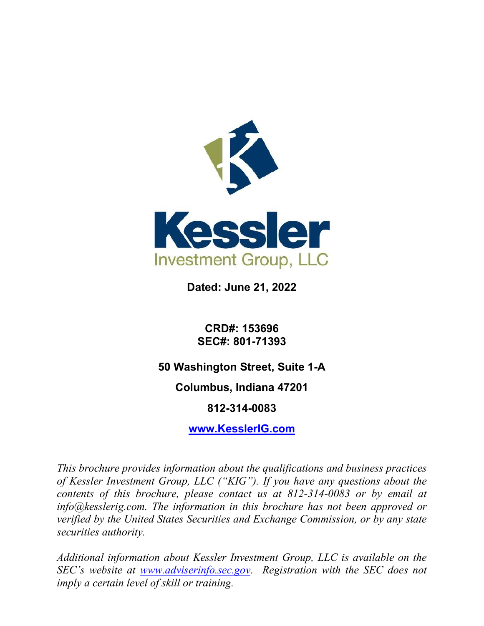

**Dated: June 21, 2022**

**CRD#: 153696 SEC#: 801-71393**

**50 Washington Street, Suite 1-A**

**Columbus, Indiana 47201**

**812-314-0083**

**[www.KesslerIG.com](http://www.kesslerig.com/)**

*This brochure provides information about the qualifications and business practices of Kessler Investment Group, LLC ("KIG"). If you have any questions about the contents of this brochure, please contact us at 812-314-0083 or by email at info@kesslerig.com. The information in this brochure has not been approved or verified by the United States Securities and Exchange Commission, or by any state securities authority.* 

*Additional information about Kessler Investment Group, LLC is available on the SEC's website at [www.adviserinfo.sec.gov.](https://adviserinfo.sec.gov/) Registration with the SEC does not imply a certain level of skill or training.*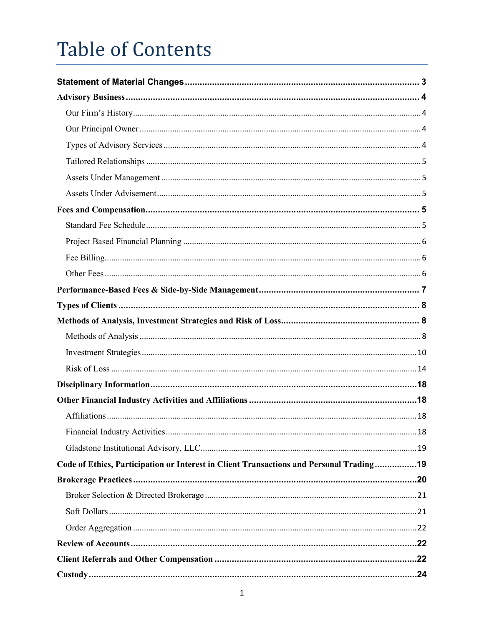# **Table of Contents**

| Code of Ethics, Participation or Interest in Client Transactions and Personal Trading19 |  |
|-----------------------------------------------------------------------------------------|--|
|                                                                                         |  |
|                                                                                         |  |
|                                                                                         |  |
|                                                                                         |  |
|                                                                                         |  |
|                                                                                         |  |
|                                                                                         |  |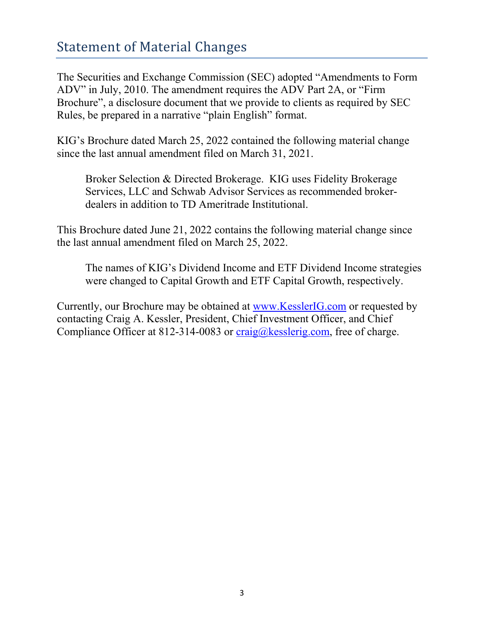## <span id="page-3-0"></span>Statement of Material Changes

The Securities and Exchange Commission (SEC) adopted "Amendments to Form ADV" in July, 2010. The amendment requires the ADV Part 2A, or "Firm Brochure", a disclosure document that we provide to clients as required by SEC Rules, be prepared in a narrative "plain English" format.

KIG's Brochure dated March 25, 2022 contained the following material change since the last annual amendment filed on March 31, 2021.

Broker Selection & Directed Brokerage. KIG uses Fidelity Brokerage Services, LLC and Schwab Advisor Services as recommended brokerdealers in addition to TD Ameritrade Institutional.

This Brochure dated June 21, 2022 contains the following material change since the last annual amendment filed on March 25, 2022.

The names of KIG's Dividend Income and ETF Dividend Income strategies were changed to Capital Growth and ETF Capital Growth, respectively.

Currently, our Brochure may be obtained at [www.KesslerIG.com](http://www.kesslerig.com/) or requested by contacting Craig A. Kessler, President, Chief Investment Officer, and Chief Compliance Officer at 812-314-0083 or  $\text{craig}(\omega)$ kesslerig.com, free of charge.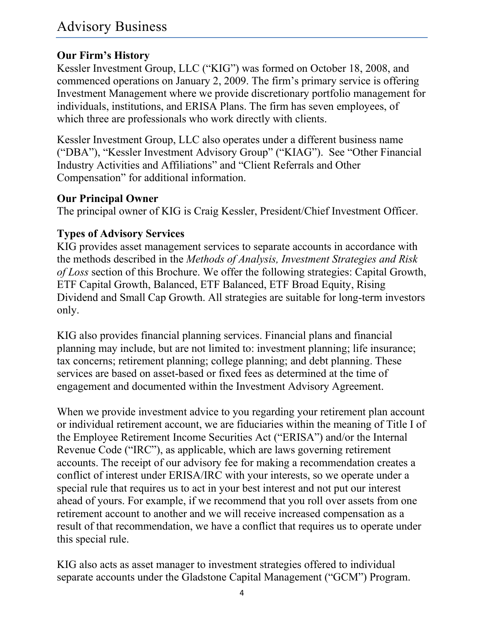## <span id="page-4-1"></span><span id="page-4-0"></span>**Our Firm's History**

Kessler Investment Group, LLC ("KIG") was formed on October 18, 2008, and commenced operations on January 2, 2009. The firm's primary service is offering Investment Management where we provide discretionary portfolio management for individuals, institutions, and ERISA Plans. The firm has seven employees, of which three are professionals who work directly with clients.

Kessler Investment Group, LLC also operates under a different business name ("DBA"), "Kessler Investment Advisory Group" ("KIAG"). See "Other Financial Industry Activities and Affiliations" and "Client Referrals and Other Compensation" for additional information.

#### <span id="page-4-2"></span>**Our Principal Owner**

The principal owner of KIG is Craig Kessler, President/Chief Investment Officer.

### <span id="page-4-3"></span>**Types of Advisory Services**

KIG provides asset management services to separate accounts in accordance with the methods described in the *Methods of Analysis, Investment Strategies and Risk of Loss* section of this Brochure. We offer the following strategies: Capital Growth, ETF Capital Growth, Balanced, ETF Balanced, ETF Broad Equity, Rising Dividend and Small Cap Growth. All strategies are suitable for long-term investors only.

KIG also provides financial planning services. Financial plans and financial planning may include, but are not limited to: investment planning; life insurance; tax concerns; retirement planning; college planning; and debt planning. These services are based on asset-based or fixed fees as determined at the time of engagement and documented within the Investment Advisory Agreement.

When we provide investment advice to you regarding your retirement plan account or individual retirement account, we are fiduciaries within the meaning of Title I of the Employee Retirement Income Securities Act ("ERISA") and/or the Internal Revenue Code ("IRC"), as applicable, which are laws governing retirement accounts. The receipt of our advisory fee for making a recommendation creates a conflict of interest under ERISA/IRC with your interests, so we operate under a special rule that requires us to act in your best interest and not put our interest ahead of yours. For example, if we recommend that you roll over assets from one retirement account to another and we will receive increased compensation as a result of that recommendation, we have a conflict that requires us to operate under this special rule.

KIG also acts as asset manager to investment strategies offered to individual separate accounts under the Gladstone Capital Management ("GCM") Program.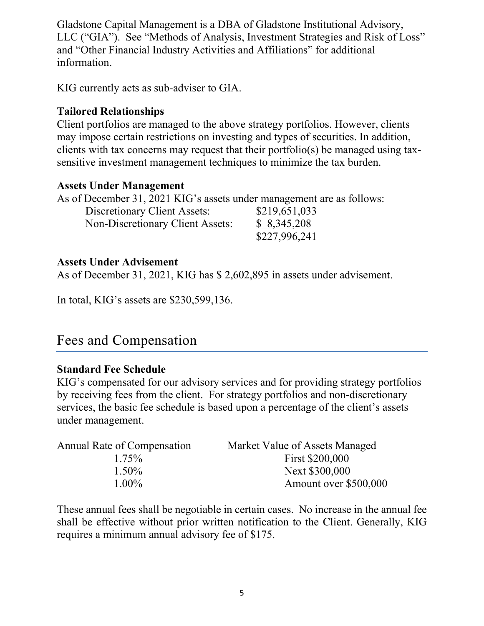Gladstone Capital Management is a DBA of Gladstone Institutional Advisory, LLC ("GIA"). See "Methods of Analysis, Investment Strategies and Risk of Loss" and "Other Financial Industry Activities and Affiliations" for additional information.

KIG currently acts as sub-adviser to GIA.

#### <span id="page-5-0"></span>**Tailored Relationships**

Client portfolios are managed to the above strategy portfolios. However, clients may impose certain restrictions on investing and types of securities. In addition, clients with tax concerns may request that their portfolio(s) be managed using taxsensitive investment management techniques to minimize the tax burden.

#### <span id="page-5-1"></span>**Assets Under Management**

As of December 31, 2021 KIG's assets under management are as follows:

| Discretionary Client Assets:     | \$219,651,033 |
|----------------------------------|---------------|
| Non-Discretionary Client Assets: | \$8,345,208   |
|                                  | \$227,996,241 |

#### <span id="page-5-2"></span>**Assets Under Advisement**

As of December 31, 2021, KIG has \$ 2,602,895 in assets under advisement.

In total, KIG's assets are \$230,599,136.

## <span id="page-5-3"></span>Fees and Compensation

#### <span id="page-5-4"></span>**Standard Fee Schedule**

KIG's compensated for our advisory services and for providing strategy portfolios by receiving fees from the client. For strategy portfolios and non-discretionary services, the basic fee schedule is based upon a percentage of the client's assets under management.

| Annual Rate of Compensation | Market Value of Assets Managed |
|-----------------------------|--------------------------------|
| $1.75\%$                    | First \$200,000                |
| $1.50\%$                    | Next \$300,000                 |
| $1.00\%$                    | Amount over \$500,000          |

These annual fees shall be negotiable in certain cases. No increase in the annual fee shall be effective without prior written notification to the Client. Generally, KIG requires a minimum annual advisory fee of \$175.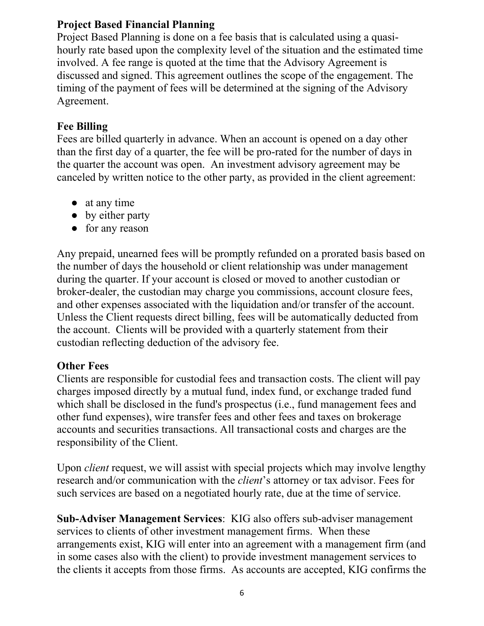#### <span id="page-6-0"></span>**Project Based Financial Planning**

Project Based Planning is done on a fee basis that is calculated using a quasihourly rate based upon the complexity level of the situation and the estimated time involved. A fee range is quoted at the time that the Advisory Agreement is discussed and signed. This agreement outlines the scope of the engagement. The timing of the payment of fees will be determined at the signing of the Advisory Agreement.

#### <span id="page-6-1"></span>**Fee Billing**

Fees are billed quarterly in advance. When an account is opened on a day other than the first day of a quarter, the fee will be pro-rated for the number of days in the quarter the account was open. An investment advisory agreement may be canceled by written notice to the other party, as provided in the client agreement:

- at any time
- by either party
- for any reason

Any prepaid, unearned fees will be promptly refunded on a prorated basis based on the number of days the household or client relationship was under management during the quarter. If your account is closed or moved to another custodian or broker-dealer, the custodian may charge you commissions, account closure fees, and other expenses associated with the liquidation and/or transfer of the account. Unless the Client requests direct billing, fees will be automatically deducted from the account. Clients will be provided with a quarterly statement from their custodian reflecting deduction of the advisory fee.

#### <span id="page-6-2"></span>**Other Fees**

Clients are responsible for custodial fees and transaction costs. The client will pay charges imposed directly by a mutual fund, index fund, or exchange traded fund which shall be disclosed in the fund's prospectus (i.e., fund management fees and other fund expenses), wire transfer fees and other fees and taxes on brokerage accounts and securities transactions. All transactional costs and charges are the responsibility of the Client.

Upon *client* request, we will assist with special projects which may involve lengthy research and/or communication with the *client*'s attorney or tax advisor. Fees for such services are based on a negotiated hourly rate, due at the time of service.

**Sub-Adviser Management Services**: KIG also offers sub-adviser management services to clients of other investment management firms. When these arrangements exist, KIG will enter into an agreement with a management firm (and in some cases also with the client) to provide investment management services to the clients it accepts from those firms. As accounts are accepted, KIG confirms the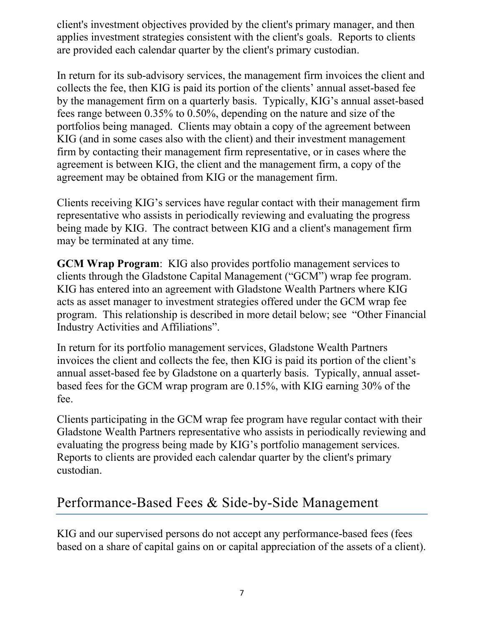client's investment objectives provided by the client's primary manager, and then applies investment strategies consistent with the client's goals. Reports to clients are provided each calendar quarter by the client's primary custodian.

In return for its sub-advisory services, the management firm invoices the client and collects the fee, then KIG is paid its portion of the clients' annual asset-based fee by the management firm on a quarterly basis. Typically, KIG's annual asset-based fees range between 0.35% to 0.50%, depending on the nature and size of the portfolios being managed. Clients may obtain a copy of the agreement between KIG (and in some cases also with the client) and their investment management firm by contacting their management firm representative, or in cases where the agreement is between KIG, the client and the management firm, a copy of the agreement may be obtained from KIG or the management firm.

Clients receiving KIG's services have regular contact with their management firm representative who assists in periodically reviewing and evaluating the progress being made by KIG. The contract between KIG and a client's management firm may be terminated at any time.

**GCM Wrap Program**: KIG also provides portfolio management services to clients through the Gladstone Capital Management ("GCM") wrap fee program. KIG has entered into an agreement with Gladstone Wealth Partners where KIG acts as asset manager to investment strategies offered under the GCM wrap fee program. This relationship is described in more detail below; see "Other Financial Industry Activities and Affiliations".

In return for its portfolio management services, Gladstone Wealth Partners invoices the client and collects the fee, then KIG is paid its portion of the client's annual asset-based fee by Gladstone on a quarterly basis. Typically, annual assetbased fees for the GCM wrap program are 0.15%, with KIG earning 30% of the fee.

Clients participating in the GCM wrap fee program have regular contact with their Gladstone Wealth Partners representative who assists in periodically reviewing and evaluating the progress being made by KIG's portfolio management services. Reports to clients are provided each calendar quarter by the client's primary custodian.

## <span id="page-7-0"></span>Performance-Based Fees & Side-by-Side Management

KIG and our supervised persons do not accept any performance-based fees (fees based on a share of capital gains on or capital appreciation of the assets of a client).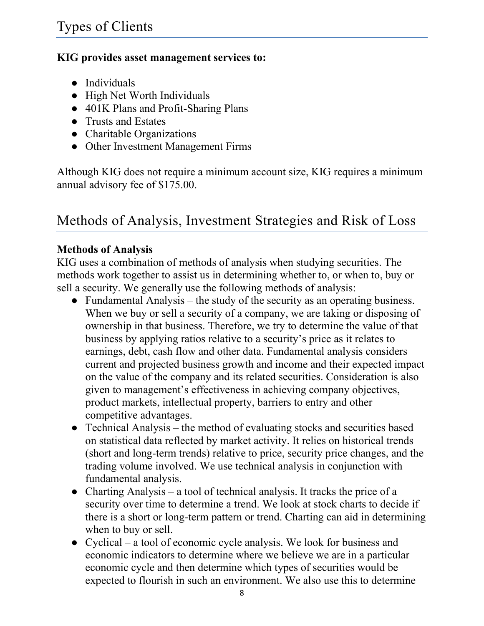#### <span id="page-8-0"></span>**KIG provides asset management services to:**

- Individuals
- High Net Worth Individuals
- 401K Plans and Profit-Sharing Plans
- Trusts and Estates
- Charitable Organizations
- Other Investment Management Firms

Although KIG does not require a minimum account size, KIG requires a minimum annual advisory fee of \$175.00.

## <span id="page-8-1"></span>Methods of Analysis, Investment Strategies and Risk of Loss

#### <span id="page-8-2"></span>**Methods of Analysis**

KIG uses a combination of methods of analysis when studying securities. The methods work together to assist us in determining whether to, or when to, buy or sell a security. We generally use the following methods of analysis:

- Fundamental Analysis the study of the security as an operating business. When we buy or sell a security of a company, we are taking or disposing of ownership in that business. Therefore, we try to determine the value of that business by applying ratios relative to a security's price as it relates to earnings, debt, cash flow and other data. Fundamental analysis considers current and projected business growth and income and their expected impact on the value of the company and its related securities. Consideration is also given to management's effectiveness in achieving company objectives, product markets, intellectual property, barriers to entry and other competitive advantages.
- Technical Analysis the method of evaluating stocks and securities based on statistical data reflected by market activity. It relies on historical trends (short and long-term trends) relative to price, security price changes, and the trading volume involved. We use technical analysis in conjunction with fundamental analysis.
- Charting Analysis a tool of technical analysis. It tracks the price of a security over time to determine a trend. We look at stock charts to decide if there is a short or long-term pattern or trend. Charting can aid in determining when to buy or sell.
- Cyclical a tool of economic cycle analysis. We look for business and economic indicators to determine where we believe we are in a particular economic cycle and then determine which types of securities would be expected to flourish in such an environment. We also use this to determine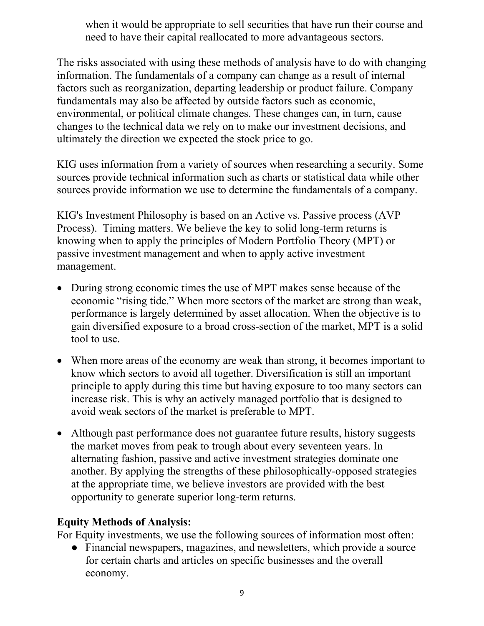when it would be appropriate to sell securities that have run their course and need to have their capital reallocated to more advantageous sectors.

The risks associated with using these methods of analysis have to do with changing information. The fundamentals of a company can change as a result of internal factors such as reorganization, departing leadership or product failure. Company fundamentals may also be affected by outside factors such as economic, environmental, or political climate changes. These changes can, in turn, cause changes to the technical data we rely on to make our investment decisions, and ultimately the direction we expected the stock price to go.

KIG uses information from a variety of sources when researching a security. Some sources provide technical information such as charts or statistical data while other sources provide information we use to determine the fundamentals of a company.

KIG's Investment Philosophy is based on an Active vs. Passive process (AVP Process). Timing matters. We believe the key to solid long-term returns is knowing when to apply the principles of Modern Portfolio Theory (MPT) or passive investment management and when to apply active investment management.

- During strong economic times the use of MPT makes sense because of the economic "rising tide." When more sectors of the market are strong than weak, performance is largely determined by asset allocation. When the objective is to gain diversified exposure to a broad cross-section of the market, MPT is a solid tool to use.
- When more areas of the economy are weak than strong, it becomes important to know which sectors to avoid all together. Diversification is still an important principle to apply during this time but having exposure to too many sectors can increase risk. This is why an actively managed portfolio that is designed to avoid weak sectors of the market is preferable to MPT.
- Although past performance does not guarantee future results, history suggests the market moves from peak to trough about every seventeen years. In alternating fashion, passive and active investment strategies dominate one another. By applying the strengths of these philosophically-opposed strategies at the appropriate time, we believe investors are provided with the best opportunity to generate superior long-term returns.

#### **Equity Methods of Analysis:**

For Equity investments, we use the following sources of information most often:

● Financial newspapers, magazines, and newsletters, which provide a source for certain charts and articles on specific businesses and the overall economy.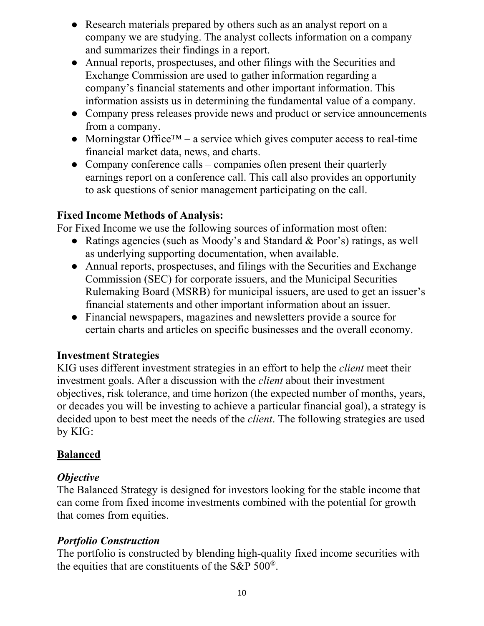- Research materials prepared by others such as an analyst report on a company we are studying. The analyst collects information on a company and summarizes their findings in a report.
- Annual reports, prospectuses, and other filings with the Securities and Exchange Commission are used to gather information regarding a company's financial statements and other important information. This information assists us in determining the fundamental value of a company.
- Company press releases provide news and product or service announcements from a company.
- Morningstar Office<sup>TM</sup> a service which gives computer access to real-time financial market data, news, and charts.
- Company conference calls companies often present their quarterly earnings report on a conference call. This call also provides an opportunity to ask questions of senior management participating on the call.

### **Fixed Income Methods of Analysis:**

For Fixed Income we use the following sources of information most often:

- Ratings agencies (such as Moody's and Standard & Poor's) ratings, as well as underlying supporting documentation, when available.
- Annual reports, prospectuses, and filings with the Securities and Exchange Commission (SEC) for corporate issuers, and the Municipal Securities Rulemaking Board (MSRB) for municipal issuers, are used to get an issuer's financial statements and other important information about an issuer.
- Financial newspapers, magazines and newsletters provide a source for certain charts and articles on specific businesses and the overall economy.

#### <span id="page-10-0"></span>**Investment Strategies**

KIG uses different investment strategies in an effort to help the *client* meet their investment goals. After a discussion with the *client* about their investment objectives, risk tolerance, and time horizon (the expected number of months, years, or decades you will be investing to achieve a particular financial goal), a strategy is decided upon to best meet the needs of the *client*. The following strategies are used by KIG:

### **Balanced**

### *Objective*

The Balanced Strategy is designed for investors looking for the stable income that can come from fixed income investments combined with the potential for growth that comes from equities.

### *Portfolio Construction*

The portfolio is constructed by blending high-quality fixed income securities with the equities that are constituents of the S&P 500®.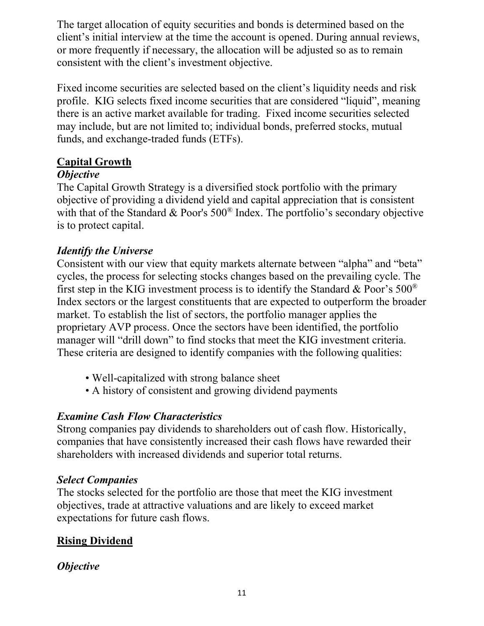The target allocation of equity securities and bonds is determined based on the client's initial interview at the time the account is opened. During annual reviews, or more frequently if necessary, the allocation will be adjusted so as to remain consistent with the client's investment objective.

Fixed income securities are selected based on the client's liquidity needs and risk profile. KIG selects fixed income securities that are considered "liquid", meaning there is an active market available for trading. Fixed income securities selected may include, but are not limited to; individual bonds, preferred stocks, mutual funds, and exchange-traded funds (ETFs).

#### **Capital Growth**

#### *Objective*

The Capital Growth Strategy is a diversified stock portfolio with the primary objective of providing a dividend yield and capital appreciation that is consistent with that of the Standard & Poor's 500<sup>®</sup> Index. The portfolio's secondary objective is to protect capital.

### *Identify the Universe*

Consistent with our view that equity markets alternate between "alpha" and "beta" cycles, the process for selecting stocks changes based on the prevailing cycle. The first step in the KIG investment process is to identify the Standard & Poor's  $500^{\circ}$ Index sectors or the largest constituents that are expected to outperform the broader market. To establish the list of sectors, the portfolio manager applies the proprietary AVP process. Once the sectors have been identified, the portfolio manager will "drill down" to find stocks that meet the KIG investment criteria. These criteria are designed to identify companies with the following qualities:

- Well-capitalized with strong balance sheet
- A history of consistent and growing dividend payments

### *Examine Cash Flow Characteristics*

Strong companies pay dividends to shareholders out of cash flow. Historically, companies that have consistently increased their cash flows have rewarded their shareholders with increased dividends and superior total returns.

### *Select Companies*

The stocks selected for the portfolio are those that meet the KIG investment objectives, trade at attractive valuations and are likely to exceed market expectations for future cash flows.

## **Rising Dividend**

### *Objective*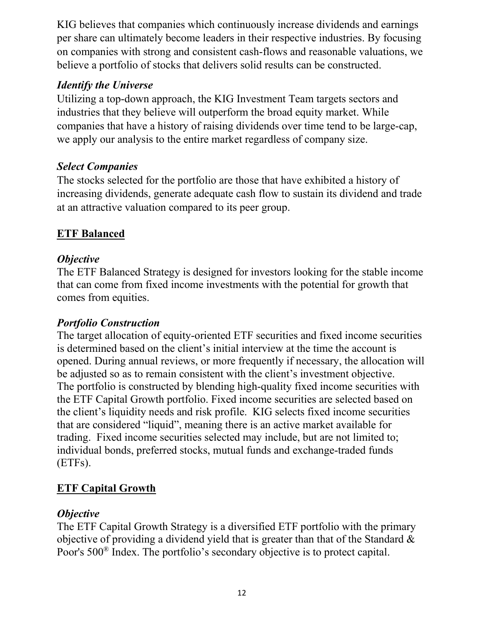KIG believes that companies which continuously increase dividends and earnings per share can ultimately become leaders in their respective industries. By focusing on companies with strong and consistent cash-flows and reasonable valuations, we believe a portfolio of stocks that delivers solid results can be constructed.

### *Identify the Universe*

Utilizing a top-down approach, the KIG Investment Team targets sectors and industries that they believe will outperform the broad equity market. While companies that have a history of raising dividends over time tend to be large-cap, we apply our analysis to the entire market regardless of company size.

## *Select Companies*

The stocks selected for the portfolio are those that have exhibited a history of increasing dividends, generate adequate cash flow to sustain its dividend and trade at an attractive valuation compared to its peer group.

## **ETF Balanced**

#### *Objective*

The ETF Balanced Strategy is designed for investors looking for the stable income that can come from fixed income investments with the potential for growth that comes from equities.

### *Portfolio Construction*

The target allocation of equity-oriented ETF securities and fixed income securities is determined based on the client's initial interview at the time the account is opened. During annual reviews, or more frequently if necessary, the allocation will be adjusted so as to remain consistent with the client's investment objective. The portfolio is constructed by blending high-quality fixed income securities with the ETF Capital Growth portfolio. Fixed income securities are selected based on the client's liquidity needs and risk profile. KIG selects fixed income securities that are considered "liquid", meaning there is an active market available for trading. Fixed income securities selected may include, but are not limited to; individual bonds, preferred stocks, mutual funds and exchange-traded funds (ETFs).

## **ETF Capital Growth**

### *Objective*

The ETF Capital Growth Strategy is a diversified ETF portfolio with the primary objective of providing a dividend yield that is greater than that of the Standard & Poor's 500® Index. The portfolio's secondary objective is to protect capital.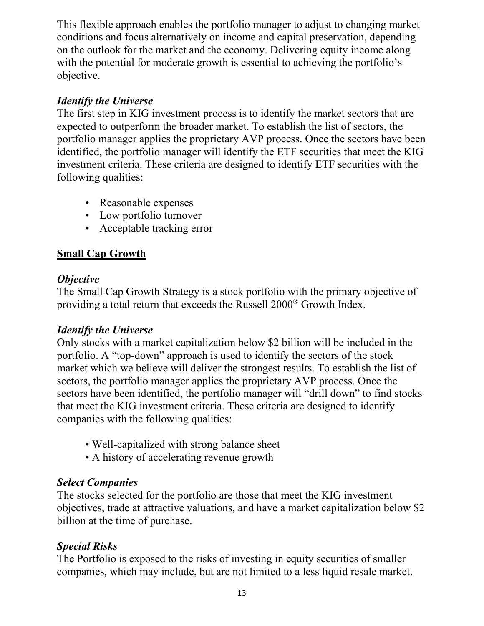This flexible approach enables the portfolio manager to adjust to changing market conditions and focus alternatively on income and capital preservation, depending on the outlook for the market and the economy. Delivering equity income along with the potential for moderate growth is essential to achieving the portfolio's objective.

## *Identify the Universe*

The first step in KIG investment process is to identify the market sectors that are expected to outperform the broader market. To establish the list of sectors, the portfolio manager applies the proprietary AVP process. Once the sectors have been identified, the portfolio manager will identify the ETF securities that meet the KIG investment criteria. These criteria are designed to identify ETF securities with the following qualities:

- Reasonable expenses
- Low portfolio turnover
- Acceptable tracking error

## **Small Cap Growth**

### *Objective*

The Small Cap Growth Strategy is a stock portfolio with the primary objective of providing a total return that exceeds the Russell 2000® Growth Index.

### *Identify the Universe*

Only stocks with a market capitalization below \$2 billion will be included in the portfolio. A "top-down" approach is used to identify the sectors of the stock market which we believe will deliver the strongest results. To establish the list of sectors, the portfolio manager applies the proprietary AVP process. Once the sectors have been identified, the portfolio manager will "drill down" to find stocks that meet the KIG investment criteria. These criteria are designed to identify companies with the following qualities:

- Well-capitalized with strong balance sheet
- A history of accelerating revenue growth

## *Select Companies*

The stocks selected for the portfolio are those that meet the KIG investment objectives, trade at attractive valuations, and have a market capitalization below \$2 billion at the time of purchase.

## *Special Risks*

The Portfolio is exposed to the risks of investing in equity securities of smaller companies, which may include, but are not limited to a less liquid resale market.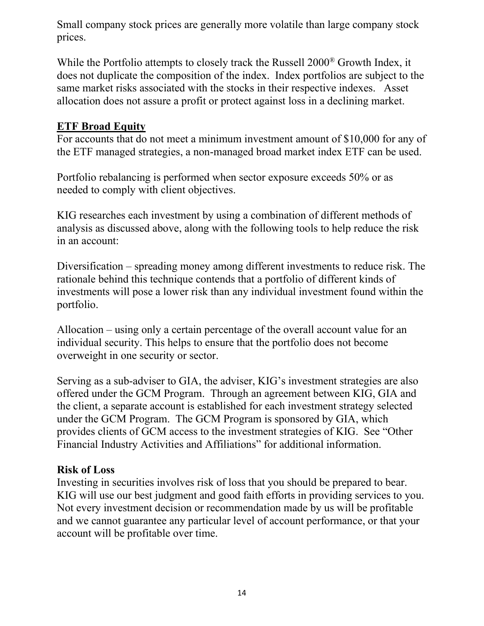Small company stock prices are generally more volatile than large company stock prices.

While the Portfolio attempts to closely track the Russell 2000® Growth Index, it does not duplicate the composition of the index. Index portfolios are subject to the same market risks associated with the stocks in their respective indexes. Asset allocation does not assure a profit or protect against loss in a declining market.

#### **ETF Broad Equity**

For accounts that do not meet a minimum investment amount of \$10,000 for any of the ETF managed strategies, a non-managed broad market index ETF can be used.

Portfolio rebalancing is performed when sector exposure exceeds 50% or as needed to comply with client objectives.

KIG researches each investment by using a combination of different methods of analysis as discussed above, along with the following tools to help reduce the risk in an account:

Diversification – spreading money among different investments to reduce risk. The rationale behind this technique contends that a portfolio of different kinds of investments will pose a lower risk than any individual investment found within the portfolio.

Allocation – using only a certain percentage of the overall account value for an individual security. This helps to ensure that the portfolio does not become overweight in one security or sector.

Serving as a sub-adviser to GIA, the adviser, KIG's investment strategies are also offered under the GCM Program. Through an agreement between KIG, GIA and the client, a separate account is established for each investment strategy selected under the GCM Program. The GCM Program is sponsored by GIA, which provides clients of GCM access to the investment strategies of KIG. See "Other Financial Industry Activities and Affiliations" for additional information.

#### <span id="page-14-0"></span>**Risk of Loss**

Investing in securities involves risk of loss that you should be prepared to bear. KIG will use our best judgment and good faith efforts in providing services to you. Not every investment decision or recommendation made by us will be profitable and we cannot guarantee any particular level of account performance, or that your account will be profitable over time.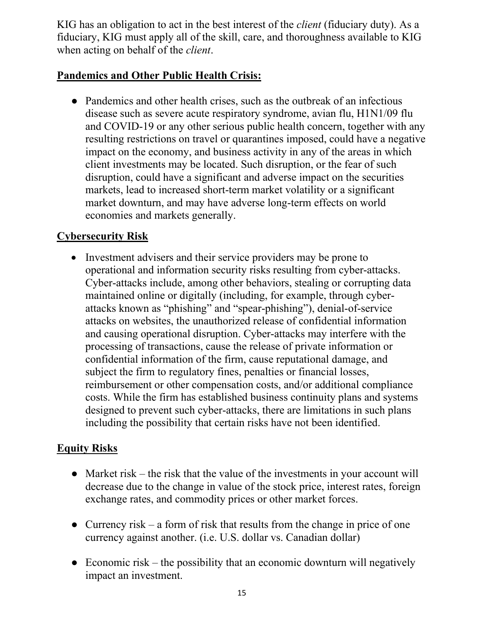KIG has an obligation to act in the best interest of the *client* (fiduciary duty). As a fiduciary, KIG must apply all of the skill, care, and thoroughness available to KIG when acting on behalf of the *client*.

## **Pandemics and Other Public Health Crisis:**

• Pandemics and other health crises, such as the outbreak of an infectious disease such as severe acute respiratory syndrome, avian flu, H1N1/09 flu and COVID-19 or any other serious public health concern, together with any resulting restrictions on travel or quarantines imposed, could have a negative impact on the economy, and business activity in any of the areas in which client investments may be located. Such disruption, or the fear of such disruption, could have a significant and adverse impact on the securities markets, lead to increased short-term market volatility or a significant market downturn, and may have adverse long-term effects on world economies and markets generally.

### **Cybersecurity Risk**

• Investment advisers and their service providers may be prone to operational and information security risks resulting from cyber-attacks. Cyber-attacks include, among other behaviors, stealing or corrupting data maintained online or digitally (including, for example, through cyberattacks known as "phishing" and "spear-phishing"), denial-of-service attacks on websites, the unauthorized release of confidential information and causing operational disruption. Cyber-attacks may interfere with the processing of transactions, cause the release of private information or confidential information of the firm, cause reputational damage, and subject the firm to regulatory fines, penalties or financial losses, reimbursement or other compensation costs, and/or additional compliance costs. While the firm has established business continuity plans and systems designed to prevent such cyber-attacks, there are limitations in such plans including the possibility that certain risks have not been identified.

### **Equity Risks**

- Market risk the risk that the value of the investments in your account will decrease due to the change in value of the stock price, interest rates, foreign exchange rates, and commodity prices or other market forces.
- Currency risk a form of risk that results from the change in price of one currency against another. (i.e. U.S. dollar vs. Canadian dollar)
- $\bullet$  Economic risk the possibility that an economic downturn will negatively impact an investment.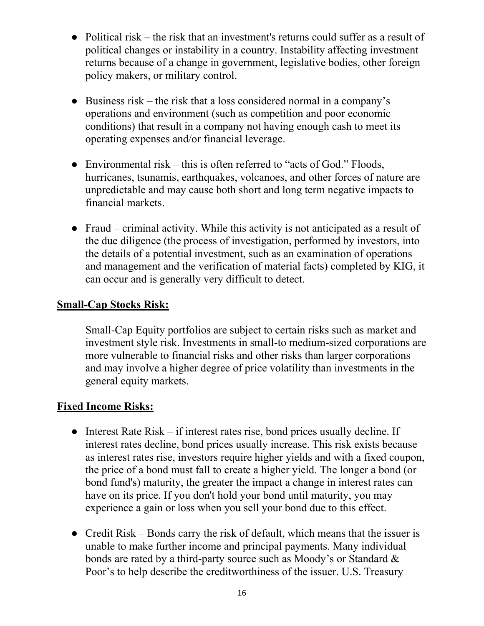- Political risk the risk that an investment's returns could suffer as a result of political changes or instability in a country. Instability affecting investment returns because of a change in government, legislative bodies, other foreign policy makers, or military control.
- Business risk the risk that a loss considered normal in a company's operations and environment (such as competition and poor economic conditions) that result in a company not having enough cash to meet its operating expenses and/or financial leverage.
- Environmental risk this is often referred to "acts of God." Floods, hurricanes, tsunamis, earthquakes, volcanoes, and other forces of nature are unpredictable and may cause both short and long term negative impacts to financial markets.
- Fraud criminal activity. While this activity is not anticipated as a result of the due diligence (the process of investigation, performed by investors, into the details of a potential investment, such as an examination of operations and management and the verification of material facts) completed by KIG, it can occur and is generally very difficult to detect.

#### **Small-Cap Stocks Risk:**

Small-Cap Equity portfolios are subject to certain risks such as market and investment style risk. Investments in small-to medium-sized corporations are more vulnerable to financial risks and other risks than larger corporations and may involve a higher degree of price volatility than investments in the general equity markets.

#### **Fixed Income Risks:**

- Interest Rate Risk if interest rates rise, bond prices usually decline. If interest rates decline, bond prices usually increase. This risk exists because as interest rates rise, investors require higher yields and with a fixed coupon, the price of a bond must fall to create a higher yield. The longer a bond (or bond fund's) maturity, the greater the impact a change in interest rates can have on its price. If you don't hold your bond until maturity, you may experience a gain or loss when you sell your bond due to this effect.
- Credit Risk Bonds carry the risk of default, which means that the issuer is unable to make further income and principal payments. Many individual bonds are rated by a third-party source such as Moody's or Standard & Poor's to help describe the creditworthiness of the issuer. U.S. Treasury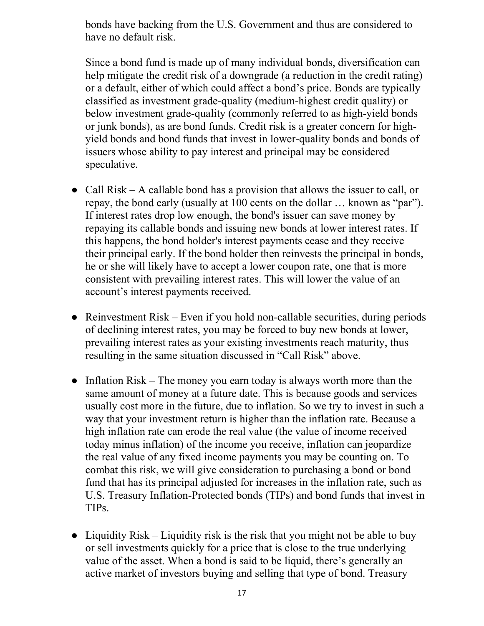bonds have backing from the U.S. Government and thus are considered to have no default risk.

Since a bond fund is made up of many individual bonds, diversification can help mitigate the credit risk of a downgrade (a reduction in the credit rating) or a default, either of which could affect a bond's price. Bonds are typically classified as investment grade-quality (medium-highest credit quality) or below investment grade-quality (commonly referred to as high-yield bonds or junk bonds), as are bond funds. Credit risk is a greater concern for highyield bonds and bond funds that invest in lower-quality bonds and bonds of issuers whose ability to pay interest and principal may be considered speculative.

- Call Risk A callable bond has a provision that allows the issuer to call, or repay, the bond early (usually at 100 cents on the dollar … known as "par"). If interest rates drop low enough, the bond's issuer can save money by repaying its callable bonds and issuing new bonds at lower interest rates. If this happens, the bond holder's interest payments cease and they receive their principal early. If the bond holder then reinvests the principal in bonds, he or she will likely have to accept a lower coupon rate, one that is more consistent with prevailing interest rates. This will lower the value of an account's interest payments received.
- Reinvestment  $Risk Even$  if you hold non-callable securities, during periods of declining interest rates, you may be forced to buy new bonds at lower, prevailing interest rates as your existing investments reach maturity, thus resulting in the same situation discussed in "Call Risk" above.
- Inflation Risk The money you earn today is always worth more than the same amount of money at a future date. This is because goods and services usually cost more in the future, due to inflation. So we try to invest in such a way that your investment return is higher than the inflation rate. Because a high inflation rate can erode the real value (the value of income received today minus inflation) of the income you receive, inflation can jeopardize the real value of any fixed income payments you may be counting on. To combat this risk, we will give consideration to purchasing a bond or bond fund that has its principal adjusted for increases in the inflation rate, such as U.S. Treasury Inflation-Protected bonds (TIPs) and bond funds that invest in TIPs.
- Liquidity Risk Liquidity risk is the risk that you might not be able to buy or sell investments quickly for a price that is close to the true underlying value of the asset. When a bond is said to be liquid, there's generally an active market of investors buying and selling that type of bond. Treasury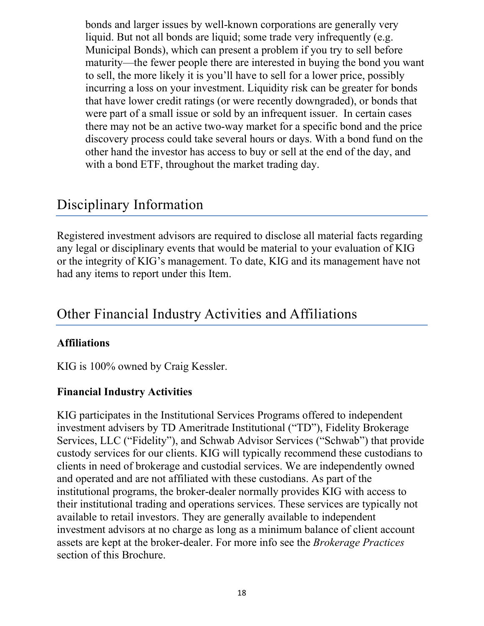bonds and larger issues by well-known corporations are generally very liquid. But not all bonds are liquid; some trade very infrequently (e.g. Municipal Bonds), which can present a problem if you try to sell before maturity—the fewer people there are interested in buying the bond you want to sell, the more likely it is you'll have to sell for a lower price, possibly incurring a loss on your investment. Liquidity risk can be greater for bonds that have lower credit ratings (or were recently downgraded), or bonds that were part of a small issue or sold by an infrequent issuer. In certain cases there may not be an active two-way market for a specific bond and the price discovery process could take several hours or days. With a bond fund on the other hand the investor has access to buy or sell at the end of the day, and with a bond ETF, throughout the market trading day.

## <span id="page-18-0"></span>Disciplinary Information

Registered investment advisors are required to disclose all material facts regarding any legal or disciplinary events that would be material to your evaluation of KIG or the integrity of KIG's management. To date, KIG and its management have not had any items to report under this Item.

## <span id="page-18-1"></span>Other Financial Industry Activities and Affiliations

#### <span id="page-18-2"></span>**Affiliations**

KIG is 100% owned by Craig Kessler.

#### <span id="page-18-3"></span>**Financial Industry Activities**

KIG participates in the Institutional Services Programs offered to independent investment advisers by TD Ameritrade Institutional ("TD"), Fidelity Brokerage Services, LLC ("Fidelity"), and Schwab Advisor Services ("Schwab") that provide custody services for our clients. KIG will typically recommend these custodians to clients in need of brokerage and custodial services. We are independently owned and operated and are not affiliated with these custodians. As part of the institutional programs, the broker-dealer normally provides KIG with access to their institutional trading and operations services. These services are typically not available to retail investors. They are generally available to independent investment advisors at no charge as long as a minimum balance of client account assets are kept at the broker-dealer. For more info see the *Brokerage Practices* section of this Brochure.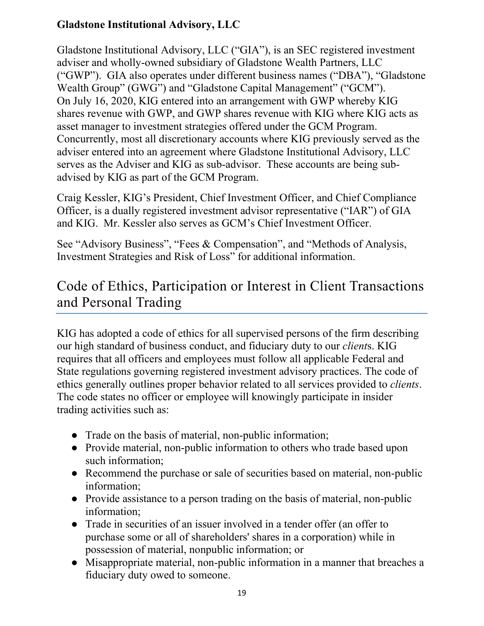## <span id="page-19-0"></span>**Gladstone Institutional Advisory, LLC**

Gladstone Institutional Advisory, LLC ("GIA"), is an SEC registered investment adviser and wholly-owned subsidiary of Gladstone Wealth Partners, LLC ("GWP"). GIA also operates under different business names ("DBA"), "Gladstone Wealth Group" (GWG") and "Gladstone Capital Management" ("GCM"). On July 16, 2020, KIG entered into an arrangement with GWP whereby KIG shares revenue with GWP, and GWP shares revenue with KIG where KIG acts as asset manager to investment strategies offered under the GCM Program. Concurrently, most all discretionary accounts where KIG previously served as the adviser entered into an agreement where Gladstone Institutional Advisory, LLC serves as the Adviser and KIG as sub-advisor. These accounts are being subadvised by KIG as part of the GCM Program.

Craig Kessler, KIG's President, Chief Investment Officer, and Chief Compliance Officer, is a dually registered investment advisor representative ("IAR") of GIA and KIG. Mr. Kessler also serves as GCM's Chief Investment Officer.

See "Advisory Business", "Fees & Compensation", and "Methods of Analysis, Investment Strategies and Risk of Loss" for additional information.

## <span id="page-19-1"></span>Code of Ethics, Participation or Interest in Client Transactions and Personal Trading

KIG has adopted a code of ethics for all supervised persons of the firm describing our high standard of business conduct, and fiduciary duty to our *client*s. KIG requires that all officers and employees must follow all applicable Federal and State regulations governing registered investment advisory practices. The code of ethics generally outlines proper behavior related to all services provided to *clients*. The code states no officer or employee will knowingly participate in insider trading activities such as:

- Trade on the basis of material, non-public information;
- Provide material, non-public information to others who trade based upon such information;
- Recommend the purchase or sale of securities based on material, non-public information;
- Provide assistance to a person trading on the basis of material, non-public information;
- Trade in securities of an issuer involved in a tender offer (an offer to purchase some or all of shareholders' shares in a corporation) while in possession of material, nonpublic information; or
- Misappropriate material, non-public information in a manner that breaches a fiduciary duty owed to someone.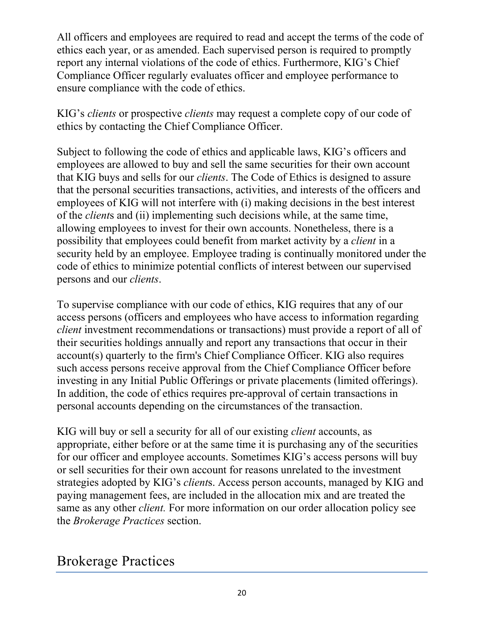All officers and employees are required to read and accept the terms of the code of ethics each year, or as amended. Each supervised person is required to promptly report any internal violations of the code of ethics. Furthermore, KIG's Chief Compliance Officer regularly evaluates officer and employee performance to ensure compliance with the code of ethics.

KIG's *clients* or prospective *clients* may request a complete copy of our code of ethics by contacting the Chief Compliance Officer.

Subject to following the code of ethics and applicable laws, KIG's officers and employees are allowed to buy and sell the same securities for their own account that KIG buys and sells for our *clients*. The Code of Ethics is designed to assure that the personal securities transactions, activities, and interests of the officers and employees of KIG will not interfere with (i) making decisions in the best interest of the *client*s and (ii) implementing such decisions while, at the same time, allowing employees to invest for their own accounts. Nonetheless, there is a possibility that employees could benefit from market activity by a *client* in a security held by an employee. Employee trading is continually monitored under the code of ethics to minimize potential conflicts of interest between our supervised persons and our *clients*.

To supervise compliance with our code of ethics, KIG requires that any of our access persons (officers and employees who have access to information regarding *client* investment recommendations or transactions) must provide a report of all of their securities holdings annually and report any transactions that occur in their account(s) quarterly to the firm's Chief Compliance Officer. KIG also requires such access persons receive approval from the Chief Compliance Officer before investing in any Initial Public Offerings or private placements (limited offerings). In addition, the code of ethics requires pre-approval of certain transactions in personal accounts depending on the circumstances of the transaction.

KIG will buy or sell a security for all of our existing *client* accounts, as appropriate, either before or at the same time it is purchasing any of the securities for our officer and employee accounts. Sometimes KIG's access persons will buy or sell securities for their own account for reasons unrelated to the investment strategies adopted by KIG's *client*s. Access person accounts, managed by KIG and paying management fees, are included in the allocation mix and are treated the same as any other *client.* For more information on our order allocation policy see the *Brokerage Practices* section.

## <span id="page-20-0"></span>Brokerage Practices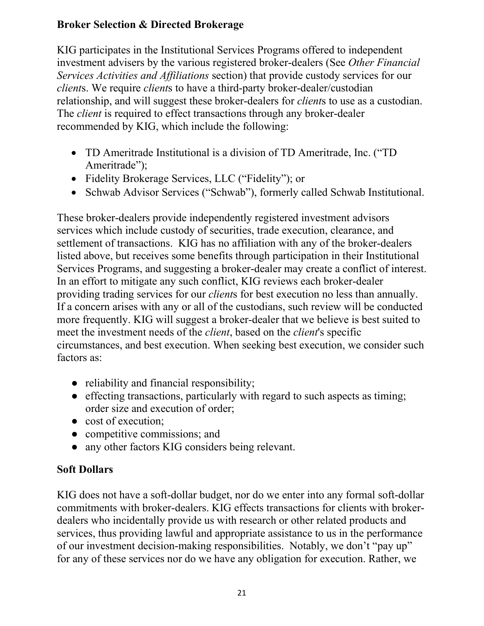### <span id="page-21-0"></span>**Broker Selection & Directed Brokerage**

KIG participates in the Institutional Services Programs offered to independent investment advisers by the various registered broker-dealers (See *Other Financial Services Activities and Affiliations* section) that provide custody services for our *client*s. We require *client*s to have a third-party broker-dealer/custodian relationship, and will suggest these broker-dealers for *client*s to use as a custodian. The *client* is required to effect transactions through any broker-dealer recommended by KIG, which include the following:

- TD Ameritrade Institutional is a division of TD Ameritrade, Inc. ("TD Ameritrade");
- Fidelity Brokerage Services, LLC ("Fidelity"); or
- Schwab Advisor Services ("Schwab"), formerly called Schwab Institutional.

These broker-dealers provide independently registered investment advisors services which include custody of securities, trade execution, clearance, and settlement of transactions. KIG has no affiliation with any of the broker-dealers listed above, but receives some benefits through participation in their Institutional Services Programs, and suggesting a broker-dealer may create a conflict of interest. In an effort to mitigate any such conflict, KIG reviews each broker-dealer providing trading services for our *client*s for best execution no less than annually. If a concern arises with any or all of the custodians, such review will be conducted more frequently. KIG will suggest a broker-dealer that we believe is best suited to meet the investment needs of the *client*, based on the *client*'s specific circumstances, and best execution. When seeking best execution, we consider such factors as:

- reliability and financial responsibility;
- effecting transactions, particularly with regard to such aspects as timing; order size and execution of order;
- cost of execution;
- competitive commissions; and
- any other factors KIG considers being relevant.

## <span id="page-21-1"></span>**Soft Dollars**

KIG does not have a soft-dollar budget, nor do we enter into any formal soft-dollar commitments with broker-dealers. KIG effects transactions for clients with brokerdealers who incidentally provide us with research or other related products and services, thus providing lawful and appropriate assistance to us in the performance of our investment decision-making responsibilities. Notably, we don't "pay up" for any of these services nor do we have any obligation for execution. Rather, we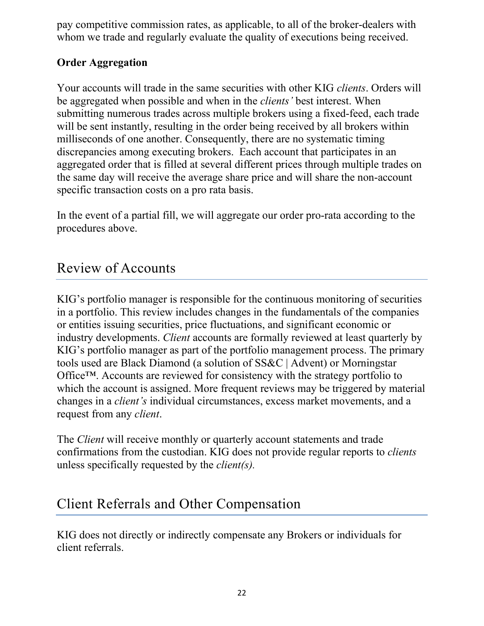pay competitive commission rates, as applicable, to all of the broker-dealers with whom we trade and regularly evaluate the quality of executions being received.

### <span id="page-22-0"></span>**Order Aggregation**

Your accounts will trade in the same securities with other KIG *clients*. Orders will be aggregated when possible and when in the *clients'* best interest. When submitting numerous trades across multiple brokers using a fixed-feed, each trade will be sent instantly, resulting in the order being received by all brokers within milliseconds of one another. Consequently, there are no systematic timing discrepancies among executing brokers. Each account that participates in an aggregated order that is filled at several different prices through multiple trades on the same day will receive the average share price and will share the non-account specific transaction costs on a pro rata basis.

In the event of a partial fill, we will aggregate our order pro-rata according to the procedures above.

## <span id="page-22-1"></span>Review of Accounts

KIG's portfolio manager is responsible for the continuous monitoring of securities in a portfolio. This review includes changes in the fundamentals of the companies or entities issuing securities, price fluctuations, and significant economic or industry developments. *Client* accounts are formally reviewed at least quarterly by KIG's portfolio manager as part of the portfolio management process. The primary tools used are Black Diamond (a solution of SS&C | Advent) or Morningstar Office™. Accounts are reviewed for consistency with the strategy portfolio to which the account is assigned. More frequent reviews may be triggered by material changes in a *client's* individual circumstances, excess market movements, and a request from any *client*.

The *Client* will receive monthly or quarterly account statements and trade confirmations from the custodian. KIG does not provide regular reports to *clients* unless specifically requested by the *client(s).*

## <span id="page-22-2"></span>Client Referrals and Other Compensation

KIG does not directly or indirectly compensate any Brokers or individuals for client referrals.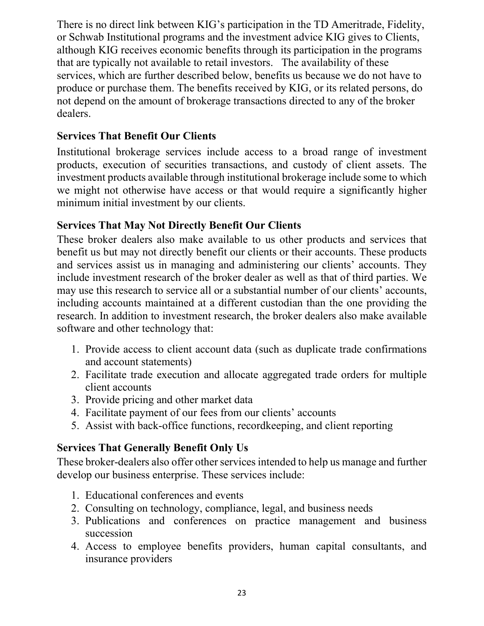There is no direct link between KIG's participation in the TD Ameritrade, Fidelity, or Schwab Institutional programs and the investment advice KIG gives to Clients, although KIG receives economic benefits through its participation in the programs that are typically not available to retail investors. The availability of these services, which are further described below, benefits us because we do not have to produce or purchase them. The benefits received by KIG, or its related persons, do not depend on the amount of brokerage transactions directed to any of the broker dealers.

#### **Services That Benefit Our Clients**

Institutional brokerage services include access to a broad range of investment products, execution of securities transactions, and custody of client assets. The investment products available through institutional brokerage include some to which we might not otherwise have access or that would require a significantly higher minimum initial investment by our clients.

### **Services That May Not Directly Benefit Our Clients**

These broker dealers also make available to us other products and services that benefit us but may not directly benefit our clients or their accounts. These products and services assist us in managing and administering our clients' accounts. They include investment research of the broker dealer as well as that of third parties. We may use this research to service all or a substantial number of our clients' accounts, including accounts maintained at a different custodian than the one providing the research. In addition to investment research, the broker dealers also make available software and other technology that:

- 1. Provide access to client account data (such as duplicate trade confirmations and account statements)
- 2. Facilitate trade execution and allocate aggregated trade orders for multiple client accounts
- 3. Provide pricing and other market data
- 4. Facilitate payment of our fees from our clients' accounts
- 5. Assist with back-office functions, recordkeeping, and client reporting

### **Services That Generally Benefit Only Us**

These broker-dealers also offer other services intended to help us manage and further develop our business enterprise. These services include:

- 1. Educational conferences and events
- 2. Consulting on technology, compliance, legal, and business needs
- 3. Publications and conferences on practice management and business succession
- 4. Access to employee benefits providers, human capital consultants, and insurance providers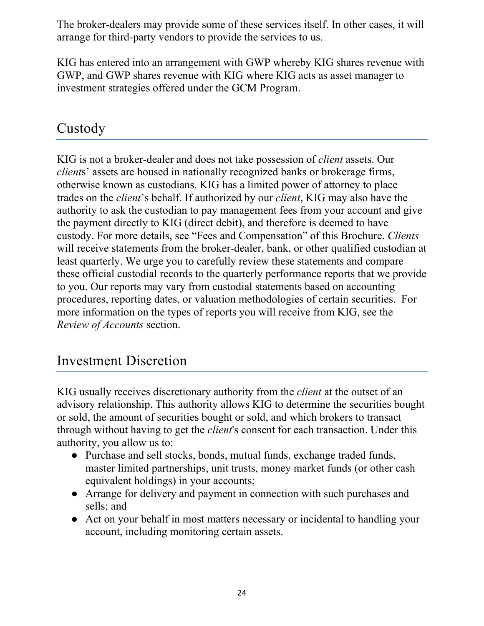The broker-dealers may provide some of these services itself. In other cases, it will arrange for third-party vendors to provide the services to us.

KIG has entered into an arrangement with GWP whereby KIG shares revenue with GWP, and GWP shares revenue with KIG where KIG acts as asset manager to investment strategies offered under the GCM Program.

## <span id="page-24-0"></span>Custody

KIG is not a broker-dealer and does not take possession of *client* assets. Our *client*s' assets are housed in nationally recognized banks or brokerage firms, otherwise known as custodians. KIG has a limited power of attorney to place trades on the *client*'s behalf. If authorized by our *client*, KIG may also have the authority to ask the custodian to pay management fees from your account and give the payment directly to KIG (direct debit), and therefore is deemed to have custody. For more details, see "Fees and Compensation" of this Brochure. *Clients* will receive statements from the broker-dealer, bank, or other qualified custodian at least quarterly. We urge you to carefully review these statements and compare these official custodial records to the quarterly performance reports that we provide to you. Our reports may vary from custodial statements based on accounting procedures, reporting dates, or valuation methodologies of certain securities. For more information on the types of reports you will receive from KIG, see the *Review of Accounts* section.

## <span id="page-24-1"></span>Investment Discretion

KIG usually receives discretionary authority from the *client* at the outset of an advisory relationship. This authority allows KIG to determine the securities bought or sold, the amount of securities bought or sold, and which brokers to transact through without having to get the *client*'s consent for each transaction. Under this authority, you allow us to:

- Purchase and sell stocks, bonds, mutual funds, exchange traded funds, master limited partnerships, unit trusts, money market funds (or other cash equivalent holdings) in your accounts;
- Arrange for delivery and payment in connection with such purchases and sells; and
- Act on your behalf in most matters necessary or incidental to handling your account, including monitoring certain assets.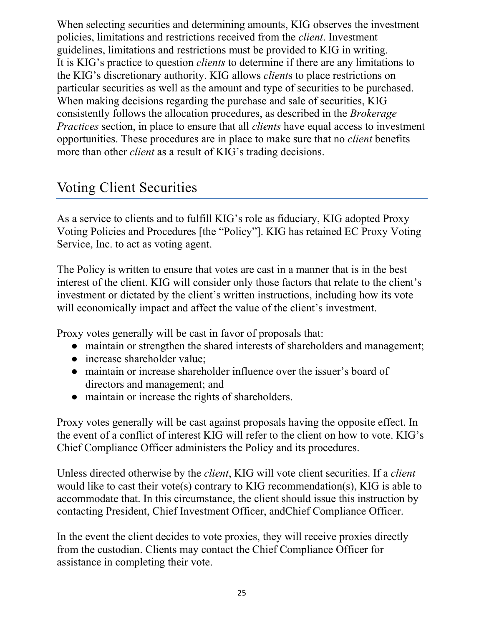When selecting securities and determining amounts, KIG observes the investment policies, limitations and restrictions received from the *client*. Investment guidelines, limitations and restrictions must be provided to KIG in writing. It is KIG's practice to question *clients* to determine if there are any limitations to the KIG's discretionary authority. KIG allows *client*s to place restrictions on particular securities as well as the amount and type of securities to be purchased. When making decisions regarding the purchase and sale of securities, KIG consistently follows the allocation procedures, as described in the *Brokerage Practices* section, in place to ensure that all *clients* have equal access to investment opportunities. These procedures are in place to make sure that no *client* benefits more than other *client* as a result of KIG's trading decisions.

## <span id="page-25-0"></span>Voting Client Securities

As a service to clients and to fulfill KIG's role as fiduciary, KIG adopted Proxy Voting Policies and Procedures [the "Policy"]. KIG has retained EC Proxy Voting Service, Inc. to act as voting agent.

The Policy is written to ensure that votes are cast in a manner that is in the best interest of the client. KIG will consider only those factors that relate to the client's investment or dictated by the client's written instructions, including how its vote will economically impact and affect the value of the client's investment.

Proxy votes generally will be cast in favor of proposals that:

- maintain or strengthen the shared interests of shareholders and management;
- increase shareholder value;
- maintain or increase shareholder influence over the issuer's board of directors and management; and
- maintain or increase the rights of shareholders.

Proxy votes generally will be cast against proposals having the opposite effect. In the event of a conflict of interest KIG will refer to the client on how to vote. KIG's Chief Compliance Officer administers the Policy and its procedures.

Unless directed otherwise by the *client*, KIG will vote client securities. If a *client* would like to cast their vote(s) contrary to KIG recommendation(s), KIG is able to accommodate that. In this circumstance, the client should issue this instruction by contacting President, Chief Investment Officer, andChief Compliance Officer.

In the event the client decides to vote proxies, they will receive proxies directly from the custodian. Clients may contact the Chief Compliance Officer for assistance in completing their vote.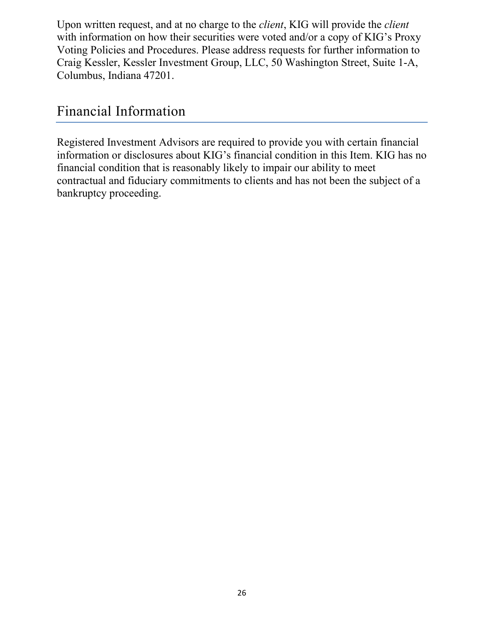Upon written request, and at no charge to the *client*, KIG will provide the *client* with information on how their securities were voted and/or a copy of KIG's Proxy Voting Policies and Procedures. Please address requests for further information to Craig Kessler, Kessler Investment Group, LLC, 50 Washington Street, Suite 1-A, Columbus, Indiana 47201.

## <span id="page-26-0"></span>Financial Information

Registered Investment Advisors are required to provide you with certain financial information or disclosures about KIG's financial condition in this Item. KIG has no financial condition that is reasonably likely to impair our ability to meet contractual and fiduciary commitments to clients and has not been the subject of a bankruptcy proceeding.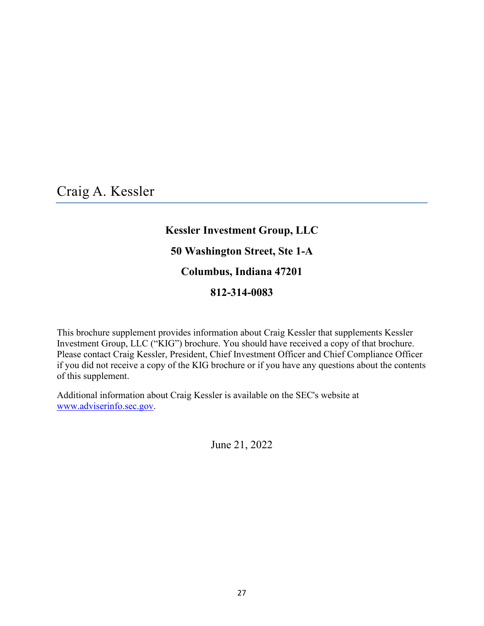<span id="page-27-0"></span>Craig A. Kessler

## **Kessler Investment Group, LLC**

#### **50 Washington Street, Ste 1-A**

#### **Columbus, Indiana 47201**

#### **812-314-0083**

This brochure supplement provides information about Craig Kessler that supplements Kessler Investment Group, LLC ("KIG") brochure. You should have received a copy of that brochure. Please contact Craig Kessler, President, Chief Investment Officer and Chief Compliance Officer if you did not receive a copy of the KIG brochure or if you have any questions about the contents of this supplement.

Additional information about Craig Kessler is available on the SEC's website at [www.adviserinfo.sec.gov.](https://adviserinfo.sec.gov/)

June 21, 2022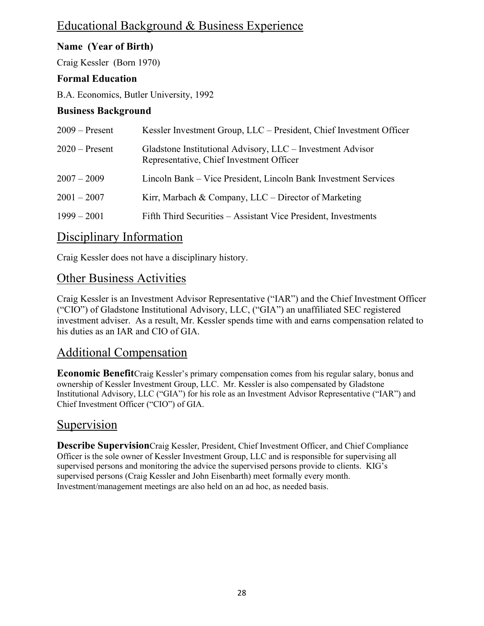## Educational Background & Business Experience

#### **Name (Year of Birth)**

Craig Kessler (Born 1970)

#### **Formal Education**

B.A. Economics, Butler University, 1992

#### **Business Background**

| $2009 -$ Present | Kessler Investment Group, LLC – President, Chief Investment Officer                                    |
|------------------|--------------------------------------------------------------------------------------------------------|
| $2020$ – Present | Gladstone Institutional Advisory, LLC - Investment Advisor<br>Representative, Chief Investment Officer |
| $2007 - 2009$    | Lincoln Bank – Vice President, Lincoln Bank Investment Services                                        |
| $2001 - 2007$    | Kirr, Marbach & Company, LLC – Director of Marketing                                                   |
| $1999 - 2001$    | Fifth Third Securities - Assistant Vice President, Investments                                         |

### Disciplinary Information

Craig Kessler does not have a disciplinary history.

#### Other Business Activities

Craig Kessler is an Investment Advisor Representative ("IAR") and the Chief Investment Officer ("CIO") of Gladstone Institutional Advisory, LLC, ("GIA") an unaffiliated SEC registered investment adviser. As a result, Mr. Kessler spends time with and earns compensation related to his duties as an IAR and CIO of GIA.

### Additional Compensation

**Economic Benefit**Craig Kessler's primary compensation comes from his regular salary, bonus and ownership of Kessler Investment Group, LLC. Mr. Kessler is also compensated by Gladstone Institutional Advisory, LLC ("GIA") for his role as an Investment Advisor Representative ("IAR") and Chief Investment Officer ("CIO") of GIA.

## Supervision

**Describe Supervision**Craig Kessler, President, Chief Investment Officer, and Chief Compliance Officer is the sole owner of Kessler Investment Group, LLC and is responsible for supervising all supervised persons and monitoring the advice the supervised persons provide to clients. KIG's supervised persons (Craig Kessler and John Eisenbarth) meet formally every month. Investment/management meetings are also held on an ad hoc, as needed basis.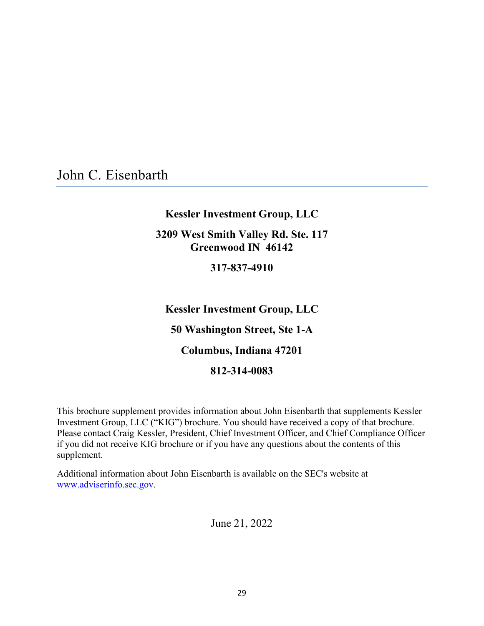<span id="page-29-0"></span>John C. Eisenbarth

#### **Kessler Investment Group, LLC**

#### **3209 West Smith Valley Rd. Ste. 117 Greenwood IN 46142**

#### **317-837-4910**

**Kessler Investment Group, LLC 50 Washington Street, Ste 1-A Columbus, Indiana 47201 812-314-0083**

This brochure supplement provides information about John Eisenbarth that supplements Kessler Investment Group, LLC ("KIG") brochure. You should have received a copy of that brochure. Please contact Craig Kessler, President, Chief Investment Officer, and Chief Compliance Officer if you did not receive KIG brochure or if you have any questions about the contents of this supplement.

Additional information about John Eisenbarth is available on the SEC's website at [www.adviserinfo.sec.gov.](https://adviserinfo.sec.gov/)

June 21, 2022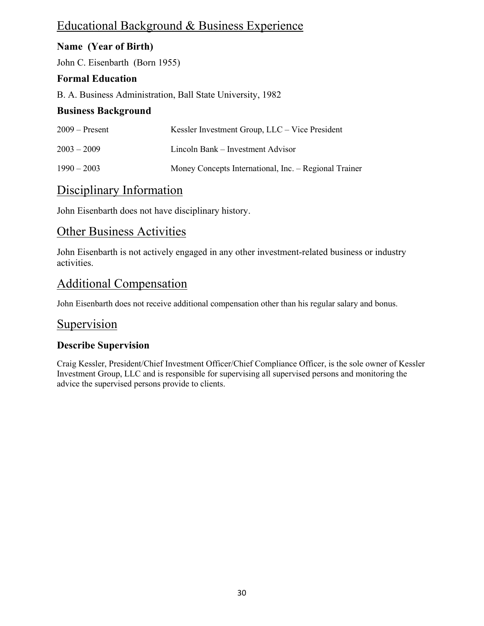## Educational Background & Business Experience

#### **Name (Year of Birth)**

John C. Eisenbarth (Born 1955)

#### **Formal Education**

B. A. Business Administration, Ball State University, 1982

#### **Business Background**

| $2009 -$ Present | Kessler Investment Group, LLC – Vice President        |
|------------------|-------------------------------------------------------|
| $2003 - 2009$    | Lincoln Bank – Investment Advisor                     |
| $1990 - 2003$    | Money Concepts International, Inc. – Regional Trainer |

## Disciplinary Information

John Eisenbarth does not have disciplinary history.

### Other Business Activities

John Eisenbarth is not actively engaged in any other investment-related business or industry activities.

## Additional Compensation

John Eisenbarth does not receive additional compensation other than his regular salary and bonus.

#### Supervision

#### **Describe Supervision**

Craig Kessler, President/Chief Investment Officer/Chief Compliance Officer, is the sole owner of Kessler Investment Group, LLC and is responsible for supervising all supervised persons and monitoring the advice the supervised persons provide to clients.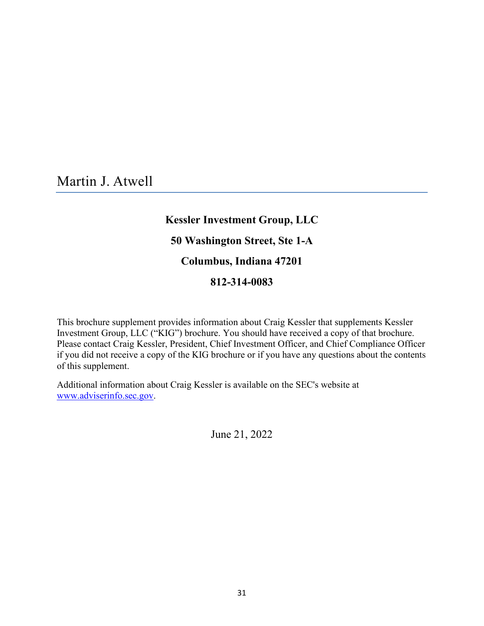<span id="page-31-0"></span>Martin J. Atwell

## **Kessler Investment Group, LLC**

## **50 Washington Street, Ste 1-A**

#### **Columbus, Indiana 47201**

#### **812-314-0083**

This brochure supplement provides information about Craig Kessler that supplements Kessler Investment Group, LLC ("KIG") brochure. You should have received a copy of that brochure. Please contact Craig Kessler, President, Chief Investment Officer, and Chief Compliance Officer if you did not receive a copy of the KIG brochure or if you have any questions about the contents of this supplement.

Additional information about Craig Kessler is available on the SEC's website at [www.adviserinfo.sec.gov.](http://www.adviserinfo.sec.gov/)

June 21, 2022